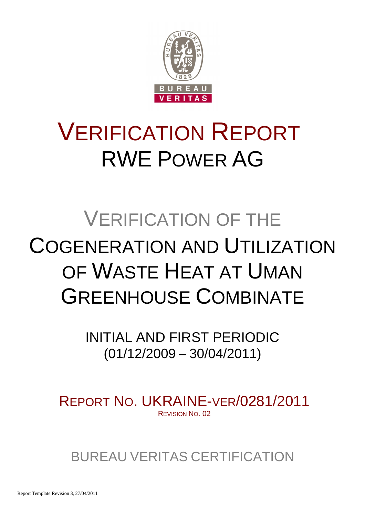

# VERIFICATION REPORT RWE POWER AG

# VERIFICATION OF THE COGENERATION AND UTILIZATION OF WASTE HEAT AT UMAN GREENHOUSE COMBINATE

INITIAL AND FIRST PERIODIC (01/12/2009 – 30/04/2011)

REPORT NO. UKRAINE-VER/0281/2011 REVISION NO. 02

BUREAU VERITAS CERTIFICATION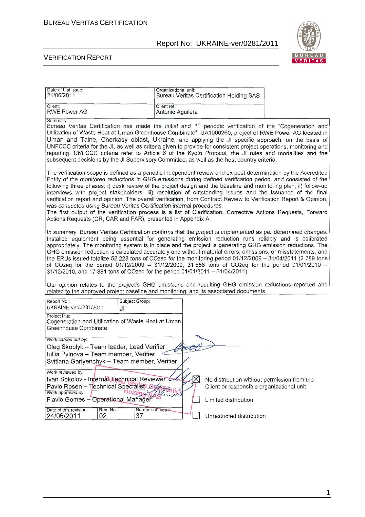

#### VERIFICATION REPORT

| Date of first issue:<br>21/06/2011                                                                                                                                                                                                                                                                                                                                                                                                                                                                                                                                                                                                                                                                                                                                                                                                             | Organizational unit:             | <b>Bureau Veritas Certification Holding SAS</b>                                          |  |
|------------------------------------------------------------------------------------------------------------------------------------------------------------------------------------------------------------------------------------------------------------------------------------------------------------------------------------------------------------------------------------------------------------------------------------------------------------------------------------------------------------------------------------------------------------------------------------------------------------------------------------------------------------------------------------------------------------------------------------------------------------------------------------------------------------------------------------------------|----------------------------------|------------------------------------------------------------------------------------------|--|
| Client:<br><b>RWE Power AG</b>                                                                                                                                                                                                                                                                                                                                                                                                                                                                                                                                                                                                                                                                                                                                                                                                                 | Client ref.:<br>Antonio Aguilera |                                                                                          |  |
| Summary:<br>Bureau Veritas Certification has made the initial and 1 <sup>st</sup> periodic verification of the "Cogeneration and<br>Utilization of Waste Heat at Uman Greenhouse Combinate", UA1000260, project of RWE Power AG located in<br>Uman and Talne, Cherkasy oblast, Ukraine, and applying the JI specific approach, on the basis of<br>UNFCCC criteria for the JI, as well as criteria given to provide for consistent project operations, monitoring and<br>reporting. UNFCCC criteria refer to Article 6 of the Kyoto Protocol, the JI rules and modalities and the<br>subsequent decisions by the JI Supervisory Committee, as well as the host country criteria.                                                                                                                                                                |                                  |                                                                                          |  |
| The verification scope is defined as a periodic independent review and ex post determination by the Accredited<br>Entity of the monitored reductions in GHG emissions during defined verification period, and consisted of the<br>following three phases: i) desk review of the project design and the baseline and monitoring plan; ii) follow-up<br>interviews with project stakeholders; iii) resolution of outstanding issues and the issuance of the final<br>verification report and opinion. The overall verification, from Contract Review to Verification Report & Opinion,<br>was conducted using Bureau Veritas Certification internal procedures.<br>The first output of the verification process is a list of Clarification, Corrective Actions Requests, Forward<br>Actions Requests (CR, CAR and FAR), presented in Appendix A. |                                  |                                                                                          |  |
| In summary, Bureau Veritas Certification confirms that the project is implemented as per determined changes.<br>Installed equipment being essential for generating emission reduction runs reliably and is calibrated<br>appropriately. The monitoring system is in place and the project is generating GHG emission reductions. The<br>GHG emission reduction is calculated accurately and without material errors, omissions, or misstatements, and<br>the ERUs issued totalize 52 228 tons of CO2eq for the monitoring period 01/12/2009 - 31/04/2011 (2 789 tons<br>of CO2eq for the period 01/12/2009 - 31/12/2009, 31 558 tons of CO2eq for the period 01/01/2010 -<br>31/12/2010, and 17 881 tons of CO2eq for the period 01/01/2011 - 31/04/2011).                                                                                     |                                  |                                                                                          |  |
| Our opinion relates to the project's GHG emissions and resulting GHG emission reductions reported and<br>related to the approved project baseline and monitoring, and its associated documents.                                                                                                                                                                                                                                                                                                                                                                                                                                                                                                                                                                                                                                                |                                  |                                                                                          |  |
| Report No.:<br>Subject Group:<br>UKRAINE-ver/0281/2011<br>JI                                                                                                                                                                                                                                                                                                                                                                                                                                                                                                                                                                                                                                                                                                                                                                                   |                                  |                                                                                          |  |
| Project title:<br>Cogeneration and Utilization of Waste Heat at Uman<br>Greenhouse Combinate                                                                                                                                                                                                                                                                                                                                                                                                                                                                                                                                                                                                                                                                                                                                                   |                                  |                                                                                          |  |
| Work carried out by:<br>Oleg Skoblyk - Team leader, Lead Verifier<br>Iuliia Pylnova - Team member, Verifier<br>Svitlana Gariyenchyk - Team member, Verifier<br>Work reviewed by:                                                                                                                                                                                                                                                                                                                                                                                                                                                                                                                                                                                                                                                               |                                  |                                                                                          |  |
| Ivan Sokolov - Internal Technical Reviewer<br>Pavlo Rosen - Technical Specialist Con<br>Work approved by:                                                                                                                                                                                                                                                                                                                                                                                                                                                                                                                                                                                                                                                                                                                                      |                                  | No distribution without permission from the<br>Client or responsible organizational unit |  |
| Flavio Gomes - Operational Manager                                                                                                                                                                                                                                                                                                                                                                                                                                                                                                                                                                                                                                                                                                                                                                                                             |                                  | Limited distribution                                                                     |  |
| Date of this revision:<br>Rev. No.:<br>02<br>37<br>24/06/2011                                                                                                                                                                                                                                                                                                                                                                                                                                                                                                                                                                                                                                                                                                                                                                                  | Number of pages:                 | Unrestricted distribution                                                                |  |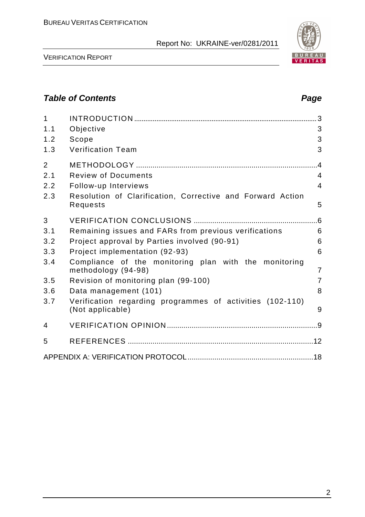

VERIFICATION REPORT

## **Table of Contents Page 2018**

| $\mathbf{1}$<br>1.1<br>1.2<br>1.3   | Objective<br>Scope<br><b>Verification Team</b>                                                                   | 3<br>3<br>3                                        |
|-------------------------------------|------------------------------------------------------------------------------------------------------------------|----------------------------------------------------|
| $\overline{2}$<br>2.1<br>2.2<br>2.3 | <b>Review of Documents</b><br>Follow-up Interviews<br>Resolution of Clarification, Corrective and Forward Action | $\overline{A}$<br>$\overline{4}$<br>$\overline{4}$ |
| 3                                   | Requests                                                                                                         | 5                                                  |
| 3.1                                 | Remaining issues and FARs from previous verifications                                                            | 6                                                  |
| 3.2                                 | Project approval by Parties involved (90-91)                                                                     | 6                                                  |
| 3.3                                 | Project implementation (92-93)                                                                                   | 6                                                  |
| 3.4                                 | Compliance of the monitoring plan with the monitoring<br>methodology (94-98)                                     | $\overline{7}$                                     |
| 3.5                                 | Revision of monitoring plan (99-100)                                                                             | $\overline{7}$                                     |
| 3.6                                 | Data management (101)                                                                                            | 8                                                  |
| 3.7                                 | Verification regarding programmes of activities (102-110)<br>(Not applicable)                                    | 9                                                  |
| 4                                   |                                                                                                                  |                                                    |
| 5                                   |                                                                                                                  |                                                    |
|                                     |                                                                                                                  |                                                    |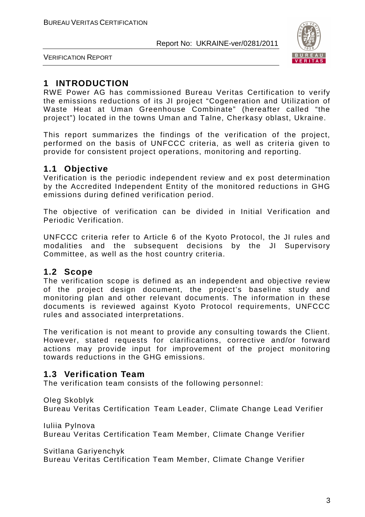

VERIFICATION REPORT

## **1 INTRODUCTION**

RWE Power AG has commissioned Bureau Veritas Certification to verify the emissions reductions of its JI project "Cogeneration and Utilization of Waste Heat at Uman Greenhouse Combinate" (hereafter called "the project") located in the towns Uman and Talne, Cherkasy oblast, Ukraine.

This report summarizes the findings of the verification of the project, performed on the basis of UNFCCC criteria, as well as criteria given to provide for consistent project operations, monitoring and reporting.

## **1.1 Objective**

Verification is the periodic independent review and ex post determination by the Accredited Independent Entity of the monitored reductions in GHG emissions during defined verification period.

The objective of verification can be divided in Initial Verification and Periodic Verification.

UNFCCC criteria refer to Article 6 of the Kyoto Protocol, the JI rules and modalities and the subsequent decisions by the JI Supervisory Committee, as well as the host country criteria.

## **1.2 Scope**

The verification scope is defined as an independent and objective review of the project design document, the project's baseline study and monitoring plan and other relevant documents. The information in these documents is reviewed against Kyoto Protocol requirements, UNFCCC rules and associated interpretations.

The verification is not meant to provide any consulting towards the Client. However, stated requests for clarifications, corrective and/or forward actions may provide input for improvement of the project monitoring towards reductions in the GHG emissions.

## **1.3 Verification Team**

The verification team consists of the following personnel:

Oleg Skoblyk

Bureau Veritas Certification Team Leader, Climate Change Lead Verifier

Iuliia Pylnova Bureau Veritas Certification Team Member, Climate Change Verifier

Svitlana Gariyenchyk

Bureau Veritas Certification Team Member, Climate Change Verifier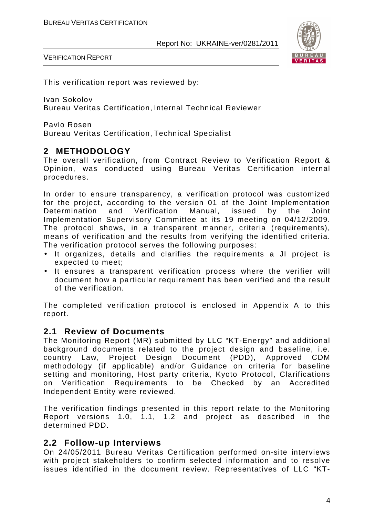

VERIFICATION REPORT

This verification report was reviewed by:

Ivan Sokolov Bureau Veritas Certification, Internal Technical Reviewer

Pavlo Rosen Bureau Veritas Certification, Technical Specialist

#### **2 METHODOLOGY**

The overall verification, from Contract Review to Verification Report & Opinion, was conducted using Bureau Veritas Certification internal procedures.

In order to ensure transparency, a verification protocol was customized for the project, according to the version 01 of the Joint Implementation Determination and Verification Manual, issued by the Joint Implementation Supervisory Committee at its 19 meeting on 04/12/2009. The protocol shows, in a transparent manner, criteria (requirements), means of verification and the results from verifying the identified criteria. The verification protocol serves the following purposes:

- It organizes, details and clarifies the requirements a JI project is expected to meet;
- It ensures a transparent verification process where the verifier will document how a particular requirement has been verified and the result of the verification.

The completed verification protocol is enclosed in Appendix A to this report.

#### **2.1 Review of Documents**

The Monitoring Report (MR) submitted by LLC "KT-Energy" and additional background documents related to the project design and baseline, i.e. country Law, Project Design Document (PDD), Approved CDM methodology (if applicable) and/or Guidance on criteria for baseline setting and monitoring, Host party criteria, Kyoto Protocol, Clarifications on Verification Requirements to be Checked by an Accredited Independent Entity were reviewed.

The verification findings presented in this report relate to the Monitoring Report versions 1.0, 1.1, 1.2 and project as described in the determined PDD.

#### **2.2 Follow-up Interviews**

On 24/05/2011 Bureau Veritas Certification performed on-site interviews with project stakeholders to confirm selected information and to resolve issues identified in the document review. Representatives of LLC "KT-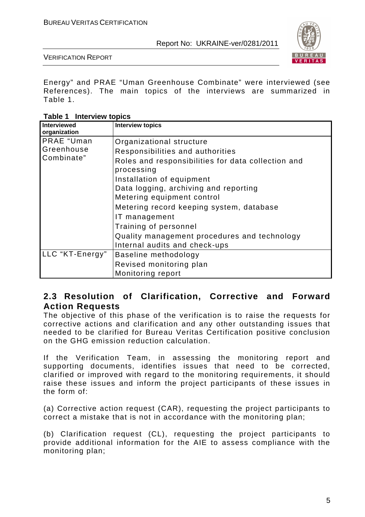

VERIFICATION REPORT

Energy" and PRAE "Uman Greenhouse Combinate" were interviewed (see References). The main topics of the interviews are summarized in Table 1.

**Table 1 Interview topics** 

| <b>Interviewed</b><br>organization | <b>Interview topics</b>                                          |
|------------------------------------|------------------------------------------------------------------|
| PRAE "Uman                         | Organizational structure                                         |
| Greenhouse                         | Responsibilities and authorities                                 |
| Combinate"                         | Roles and responsibilities for data collection and<br>processing |
|                                    | Installation of equipment                                        |
|                                    | Data logging, archiving and reporting                            |
|                                    | Metering equipment control                                       |
|                                    | Metering record keeping system, database                         |
|                                    | IT management                                                    |
|                                    | Training of personnel                                            |
|                                    | Quality management procedures and technology                     |
|                                    | Internal audits and check-ups                                    |
| LLC "KT-Energy"                    | Baseline methodology                                             |
|                                    | Revised monitoring plan                                          |
|                                    | Monitoring report                                                |

## **2.3 Resolution of Clarification, Corrective and Forward Action Requests**

The objective of this phase of the verification is to raise the requests for corrective actions and clarification and any other outstanding issues that needed to be clarified for Bureau Veritas Certification positive conclusion on the GHG emission reduction calculation.

If the Verification Team, in assessing the monitoring report and supporting documents, identifies issues that need to be corrected, clarified or improved with regard to the monitoring requirements, it should raise these issues and inform the project participants of these issues in the form of:

(a) Corrective action request (CAR), requesting the project participants to correct a mistake that is not in accordance with the monitoring plan;

(b) Clarification request (CL), requesting the project participants to provide additional information for the AIE to assess compliance with the monitoring plan;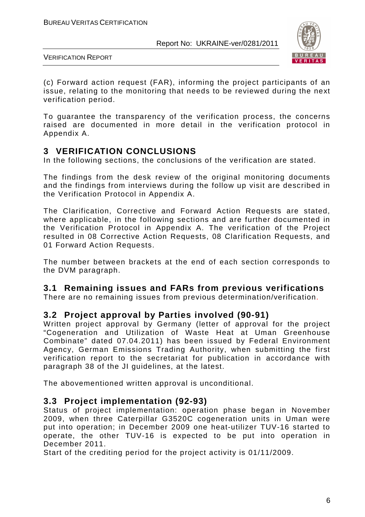

VERIFICATION REPORT

(c) Forward action request (FAR), informing the project participants of an issue, relating to the monitoring that needs to be reviewed during the next verification period.

To guarantee the transparency of the verification process, the concerns raised are documented in more detail in the verification protocol in Appendix A.

## **3 VERIFICATION CONCLUSIONS**

In the following sections, the conclusions of the verification are stated.

The findings from the desk review of the original monitoring documents and the findings from interviews during the follow up visit are described in the Verification Protocol in Appendix A.

The Clarification, Corrective and Forward Action Requests are stated, where applicable, in the following sections and are further documented in the Verification Protocol in Appendix A. The verification of the Project resulted in 08 Corrective Action Requests, 08 Clarification Requests, and 01 Forward Action Requests.

The number between brackets at the end of each section corresponds to the DVM paragraph.

## **3.1 Remaining issues and FARs from previous verifications**

There are no remaining issues from previous determination/verification.

#### **3.2 Project approval by Parties involved (90-91)**

Written project approval by Germany (letter of approval for the project "Cogeneration and Utilization of Waste Heat at Uman Greenhouse Combinate" dated 07.04.2011) has been issued by Federal Environment Agency, German Emissions Trading Authority, when submitting the first verification report to the secretariat for publication in accordance with paragraph 38 of the JI guidelines, at the latest.

The abovementioned written approval is unconditional.

#### **3.3 Project implementation (92-93)**

Status of project implementation: operation phase began in November 2009, when three Caterpillar G3520C cogeneration units in Uman were put into operation; in December 2009 one heat-utilizer TUV-16 started to operate, the other TUV-16 is expected to be put into operation in December 2011.

Start of the crediting period for the project activity is 01/11/2009.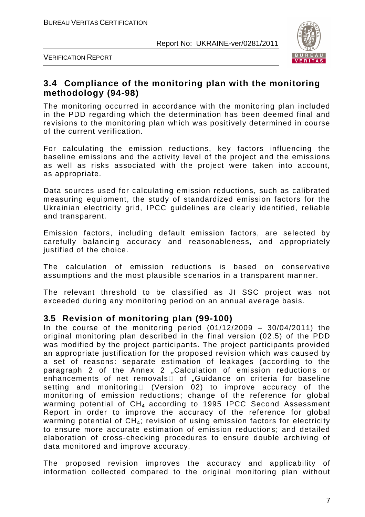

VERIFICATION REPORT

## **3.4 Compliance of the monitoring plan with the monitoring methodology (94-98)**

The monitoring occurred in accordance with the monitoring plan included in the PDD regarding which the determination has been deemed final and revisions to the monitoring plan which was positively determined in course of the current verification.

For calculating the emission reductions, key factors influencing the baseline emissions and the activity level of the project and the emissions as well as risks associated with the project were taken into account, as appropriate.

Data sources used for calculating emission reductions, such as calibrated measuring equipment, the study of standardized emission factors for the Ukrainian electricity grid, IPCC guidelines are clearly identified, reliable and transparent.

Emission factors, including default emission factors, are selected by carefully balancing accuracy and reasonableness, and appropriately justified of the choice.

The calculation of emission reductions is based on conservative assumptions and the most plausible scenarios in a transparent manner.

The relevant threshold to be classified as JI SSC project was not exceeded during any monitoring period on an annual average basis.

#### **3.5 Revision of monitoring plan (99-100)**

In the course of the monitoring period  $(01/12/2009 - 30/04/2011)$  the original monitoring plan described in the final version (02.5) of the PDD was modified by the project participants. The project participants provided an appropriate justification for the proposed revision which was caused by a set of reasons: separate estimation of leakages (according to the paragraph 2 of the Annex 2 "Calculation of emission reductions or enhancements of net removals $\square$  of "Guidance on criteria for baseline setting and monitoring  $\Box$  (Version 02) to improve accuracy of the monitoring of emission reductions; change of the reference for global warming potential of CH4 according to 1995 IPCC Second Assessment Report in order to improve the accuracy of the reference for global warming potential of  $CH_4$ ; revision of using emission factors for electricity to ensure more accurate estimation of emission reductions; and detailed elaboration of cross-checking procedures to ensure double archiving of data monitored and improve accuracy.

The proposed revision improves the accuracy and applicability of information collected compared to the original monitoring plan without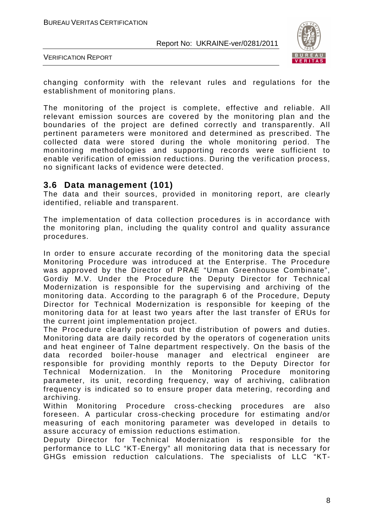

VERIFICATION REPORT

changing conformity with the relevant rules and regulations for the establishment of monitoring plans.

The monitoring of the project is complete, effective and reliable. All relevant emission sources are covered by the monitoring plan and the boundaries of the project are defined correctly and transparently. All pertinent parameters were monitored and determined as prescribed. The collected data were stored during the whole monitoring period. The monitoring methodologies and supporting records were sufficient to enable verification of emission reductions. During the verification process, no significant lacks of evidence were detected.

#### **3.6 Data management (101)**

The data and their sources, provided in monitoring report, are clearly identified, reliable and transparent.

The implementation of data collection procedures is in accordance with the monitoring plan, including the quality control and quality assurance procedures.

In order to ensure accurate recording of the monitoring data the special Monitoring Procedure was introduced at the Enterprise. The Procedure was approved by the Director of PRAE "Uman Greenhouse Combinate", Gordiy M.V. Under the Procedure the Deputy Director for Technical Modernization is responsible for the supervising and archiving of the monitoring data. According to the paragraph 6 of the Procedure, Deputy Director for Technical Modernization is responsible for keeping of the monitoring data for at least two years after the last transfer of ERUs for the current joint implementation project.

The Procedure clearly points out the distribution of powers and duties. Monitoring data are daily recorded by the operators of cogeneration units and heat engineer of Talne department respectively. On the basis of the data recorded boiler-house manager and electrical engineer are responsible for providing monthly reports to the Deputy Director for Technical Modernization. In the Monitoring Procedure monitoring parameter, its unit, recording frequency, way of archiving, calibration frequency is indicated so to ensure proper data metering, recording and archiving.

Within Monitoring Procedure cross-checking procedures are also foreseen. A particular cross-checking procedure for estimating and/or measuring of each monitoring parameter was developed in details to assure accuracy of emission reductions estimation.

Deputy Director for Technical Modernization is responsible for the performance to LLC "KT-Energy" all monitoring data that is necessary for GHGs emission reduction calculations. The specialists of LLC "KT-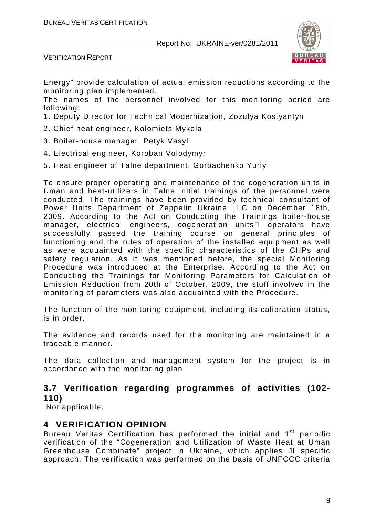

VERIFICATION REPORT

Energy" provide calculation of actual emission reductions according to the monitoring plan implemented.

The names of the personnel involved for this monitoring period are following:

- 1. Deputy Director for Technical Modernization, Zozulya Kostyantyn
- 2. Chief heat engineer, Kolomiets Mykola
- 3. Boiler-house manager, Petyk Vasyl
- 4. Electrical engineer, Koroban Volodymyr
- 5. Heat engineer of Talne department, Gorbachenko Yuriy

To ensure proper operating and maintenance of the cogeneration units in Uman and heat-utilizers in Talne initial trainings of the personnel were conducted. The trainings have been provided by technical consultant of Power Units Department of Zeppelin Ukraine LLC on December 18th, 2009. According to the Act on Conducting the Trainings boiler-house manager, electrical engineers, cogeneration units operators have successfully passed the training course on general principles of functioning and the rules of operation of the installed equipment as well as were acquainted with the specific characteristics of the CHPs and safety regulation. As it was mentioned before, the special Monitoring Procedure was introduced at the Enterprise. According to the Act on Conducting the Trainings for Monitoring Parameters for Calculation of Emission Reduction from 20th of October, 2009, the stuff involved in the monitoring of parameters was also acquainted with the Procedure.

The function of the monitoring equipment, including its calibration status, is in order.

The evidence and records used for the monitoring are maintained in a traceable manner.

The data collection and management system for the project is in accordance with the monitoring plan.

## **3.7 Verification regarding programmes of activities (102- 110)**

Not applicable.

#### **4 VERIFICATION OPINION**

Bureau Veritas Certification has performed the initial and 1<sup>st</sup> periodic verification of the "Cogeneration and Utilization of Waste Heat at Uman Greenhouse Combinate" project in Ukraine, which applies JI specific approach. The verification was performed on the basis of UNFCCC criteria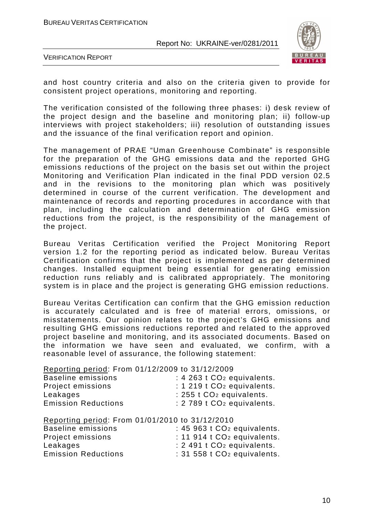

VERIFICATION REPORT

and host country criteria and also on the criteria given to provide for consistent project operations, monitoring and reporting.

The verification consisted of the following three phases: i) desk review of the project design and the baseline and monitoring plan; ii) follow-up interviews with project stakeholders; iii) resolution of outstanding issues and the issuance of the final verification report and opinion.

The management of PRAE "Uman Greenhouse Combinate" is responsible for the preparation of the GHG emissions data and the reported GHG emissions reductions of the project on the basis set out within the project Monitoring and Verification Plan indicated in the final PDD version 02.5 and in the revisions to the monitoring plan which was positively determined in course of the current verification. The development and maintenance of records and reporting procedures in accordance with that plan, including the calculation and determination of GHG emission reductions from the project, is the responsibility of the management of the project.

Bureau Veritas Certification verified the Project Monitoring Report version 1.2 for the reporting period as indicated below. Bureau Veritas Certification confirms that the project is implemented as per determined changes. Installed equipment being essential for generating emission reduction runs reliably and is calibrated appropriately. The monitoring system is in place and the project is generating GHG emission reductions.

Bureau Veritas Certification can confirm that the GHG emission reduction is accurately calculated and is free of material errors, omissions, or misstatements. Our opinion relates to the project's GHG emissions and resulting GHG emissions reductions reported and related to the approved project baseline and monitoring, and its associated documents. Based on the information we have seen and evaluated, we confirm, with a reasonable level of assurance, the following statement:

Reporting period: From 01/12/2009 to 31/12/2009

| Baseline emissions         | $: 4263$ t $CO2$ equivalents.           |
|----------------------------|-----------------------------------------|
| Project emissions          | $: 1219$ t CO <sub>2</sub> equivalents. |
| Leakages                   | : 255 t CO <sub>2</sub> equivalents.    |
| <b>Emission Reductions</b> | : 2 789 t CO <sub>2</sub> equivalents.  |
|                            |                                         |

|                            | Reporting period: From 01/01/2010 to 31/12/2010 |
|----------------------------|-------------------------------------------------|
| <b>Baseline emissions</b>  | : 45 963 t CO <sub>2</sub> equivalents.         |
| Project emissions          | $: 11$ 914 t $CO2$ equivalents.                 |
| Leakages                   | : 2 491 t CO <sub>2</sub> equivalents.          |
| <b>Emission Reductions</b> | : 31 558 t CO <sub>2</sub> equivalents.         |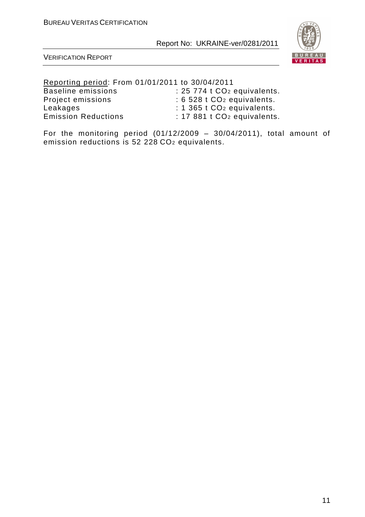

VERIFICATION REPORT

Reporting period: From 01/01/2011 to 30/04/2011

Project emissions

Baseline emissions : 25 774 t CO<sub>2</sub> equivalents.<br>Project emissions : 6 528 t CO<sub>2</sub> equivalents. Leakages : 1 365 t CO<sub>2</sub> equivalents.<br>Emission Reductions : 17 881 t CO<sub>2</sub> equivalents  $: 17881$  t CO<sub>2</sub> equivalents.

For the monitoring period  $(01/12/2009 - 30/04/2011)$ , total amount of emission reductions is 52 228 CO2 equivalents.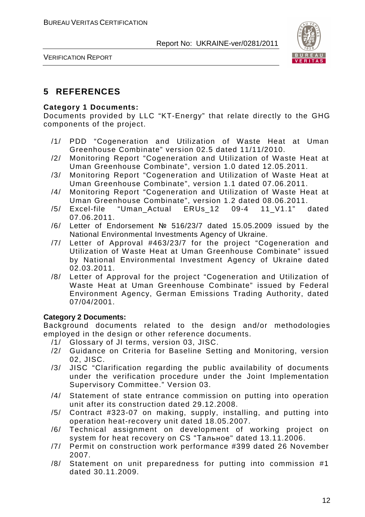

VERIFICATION REPORT

## **5 REFERENCES**

#### **Category 1 Documents:**

Documents provided by LLC "KT-Energy" that relate directly to the GHG components of the project.

- /1/ PDD "Cogeneration and Utilization of Waste Heat at Uman Greenhouse Combinate" version 02.5 dated 11/11/2010.
- /2/ Monitoring Report "Cogeneration and Utilization of Waste Heat at Uman Greenhouse Combinate", version 1.0 dated 12.05.2011.
- /3/ Monitoring Report "Cogeneration and Utilization of Waste Heat at Uman Greenhouse Combinate", version 1.1 dated 07.06.2011.
- /4/ Monitoring Report "Cogeneration and Utilization of Waste Heat at Uman Greenhouse Combinate", version 1.2 dated 08.06.2011.
- /5/ Excel-file "Uman\_Actual ERUs\_12 09-4 11\_V1.1" dated 07.06.2011.
- /6/ Letter of Endorsement № 516/23/7 dated 15.05.2009 issued by the National Environmental Investments Agency of Ukraine.
- /7/ Letter of Approval #463/23/7 for the project "Cogeneration and Utilization of Waste Heat at Uman Greenhouse Combinate" issued by National Environmental Investment Agency of Ukraine dated 02.03.2011.
- /8/ Letter of Approval for the project "Cogeneration and Utilization of Waste Heat at Uman Greenhouse Combinate" issued by Federal Environment Agency, German Emissions Trading Authority, dated 07/04/2001.

#### **Category 2 Documents:**

Background documents related to the design and/or methodologies employed in the design or other reference documents.

- /1/ Glossary of JI terms, version 03, JISC.
- /2/ Guidance on Criteria for Baseline Setting and Monitoring, version 02, JISC.
- /3/ JISC "Clarification regarding the public availability of documents under the verification procedure under the Joint Implementation Supervisory Committee." Version 03.
- /4/ Statement of state entrance commission on putting into operation unit after its construction dated 29.12.2008.
- /5/ Contract #323-07 on making, supply, installing, and putting into operation heat-recovery unit dated 18.05.2007.
- /6/ Technical assignment on development of working project on system for heat recovery on CS "Тальное" dated 13.11.2006.
- /7/ Permit on construction work performance #399 dated 26 November 2007.
- /8/ Statement on unit preparedness for putting into commission #1 dated 30.11.2009.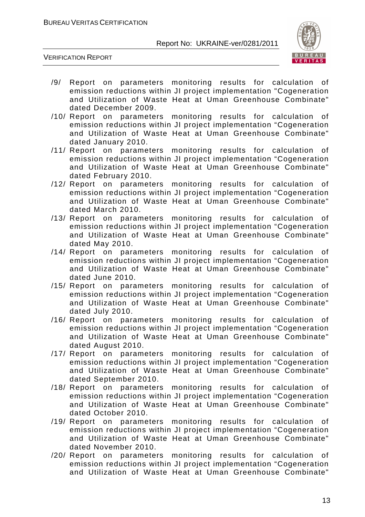

VERIFICATION REPORT

- /9/ Report on parameters monitoring results for calculation of emission reductions within JI project implementation "Cogeneration and Utilization of Waste Heat at Uman Greenhouse Combinate" dated December 2009.
- /10/ Report on parameters monitoring results for calculation of emission reductions within JI project implementation "Cogeneration and Utilization of Waste Heat at Uman Greenhouse Combinate" dated January 2010.
- /11/ Report on parameters monitoring results for calculation of emission reductions within JI project implementation "Cogeneration and Utilization of Waste Heat at Uman Greenhouse Combinate" dated February 2010.
- /12/ Report on parameters monitoring results for calculation of emission reductions within JI project implementation "Cogeneration and Utilization of Waste Heat at Uman Greenhouse Combinate" dated March 2010.
- /13/ Report on parameters monitoring results for calculation of emission reductions within JI project implementation "Cogeneration and Utilization of Waste Heat at Uman Greenhouse Combinate" dated May 2010.
- /14/ Report on parameters monitoring results for calculation of emission reductions within JI project implementation "Cogeneration and Utilization of Waste Heat at Uman Greenhouse Combinate" dated June 2010.
- /15/ Report on parameters monitoring results for calculation of emission reductions within JI project implementation "Cogeneration and Utilization of Waste Heat at Uman Greenhouse Combinate" dated July 2010.
- /16/ Report on parameters monitoring results for calculation of emission reductions within JI project implementation "Cogeneration and Utilization of Waste Heat at Uman Greenhouse Combinate" dated August 2010.
- /17/ Report on parameters monitoring results for calculation of emission reductions within JI project implementation "Cogeneration and Utilization of Waste Heat at Uman Greenhouse Combinate" dated September 2010.
- /18/ Report on parameters monitoring results for calculation of emission reductions within JI project implementation "Cogeneration and Utilization of Waste Heat at Uman Greenhouse Combinate" dated October 2010.
- /19/ Report on parameters monitoring results for calculation of emission reductions within JI project implementation "Cogeneration and Utilization of Waste Heat at Uman Greenhouse Combinate" dated November 2010.
- /20/ Report on parameters monitoring results for calculation of emission reductions within JI project implementation "Cogeneration and Utilization of Waste Heat at Uman Greenhouse Combinate"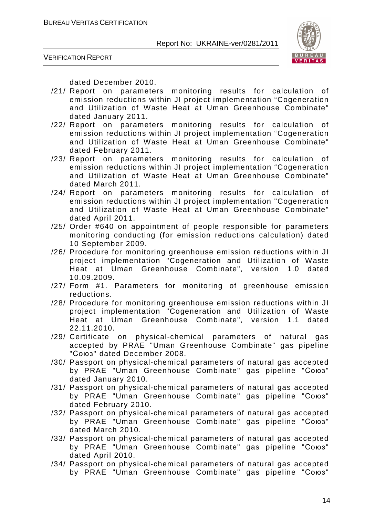



dated December 2010.

- /21/ Report on parameters monitoring results for calculation of emission reductions within JI project implementation "Cogeneration and Utilization of Waste Heat at Uman Greenhouse Combinate" dated January 2011.
- /22/ Report on parameters monitoring results for calculation of emission reductions within JI project implementation "Cogeneration and Utilization of Waste Heat at Uman Greenhouse Combinate" dated February 2011.
- /23/ Report on parameters monitoring results for calculation of emission reductions within JI project implementation "Cogeneration and Utilization of Waste Heat at Uman Greenhouse Combinate" dated March 2011.
- /24/ Report on parameters monitoring results for calculation of emission reductions within JI project implementation "Cogeneration and Utilization of Waste Heat at Uman Greenhouse Combinate" dated April 2011.
- /25/ Order #640 on appointment of people responsible for parameters monitoring conducting (for emission reductions calculation) dated 10 September 2009.
- /26/ Procedure for monitoring greenhouse emission reductions within JI project implementation "Cogeneration and Utilization of Waste Heat at Uman Greenhouse Combinate", version 1.0 dated 10.09.2009.
- /27/ Form #1. Parameters for monitoring of greenhouse emission reductions.
- /28/ Procedure for monitoring greenhouse emission reductions within JI project implementation "Cogeneration and Utilization of Waste Heat at Uman Greenhouse Combinate", version 1.1 dated 22.11.2010.
- /29/ Certificate on physical-chemical parameters of natural gas accepted by PRAE "Uman Greenhouse Combinate" gas pipeline "Союз" dated December 2008.
- /30/ Passport on physical-chemical parameters of natural gas accepted by PRAE "Uman Greenhouse Combinate" gas pipeline "Союз" dated January 2010.
- /31/ Passport on physical-chemical parameters of natural gas accepted by PRAE "Uman Greenhouse Combinate" gas pipeline "Союз" dated February 2010.
- /32/ Passport on physical-chemical parameters of natural gas accepted by PRAE "Uman Greenhouse Combinate" gas pipeline "Союз" dated March 2010.
- /33/ Passport on physical-chemical parameters of natural gas accepted by PRAE "Uman Greenhouse Combinate" gas pipeline "Союз" dated April 2010.
- /34/ Passport on physical-chemical parameters of natural gas accepted by PRAE "Uman Greenhouse Combinate" gas pipeline "Союз"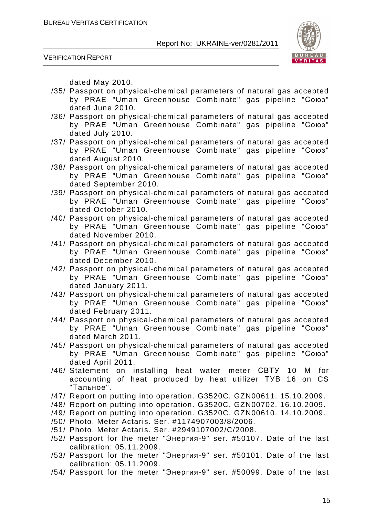



dated May 2010.

- /35/ Passport on physical-chemical parameters of natural gas accepted by PRAE "Uman Greenhouse Combinate" gas pipeline "Союз" dated June 2010.
- /36/ Passport on physical-chemical parameters of natural gas accepted by PRAE "Uman Greenhouse Combinate" gas pipeline "Союз" dated July 2010.
- /37/ Passport on physical-chemical parameters of natural gas accepted by PRAE "Uman Greenhouse Combinate" gas pipeline "Союз" dated August 2010.
- /38/ Passport on physical-chemical parameters of natural gas accepted by PRAE "Uman Greenhouse Combinate" gas pipeline "Союз" dated September 2010.
- /39/ Passport on physical-chemical parameters of natural gas accepted by PRAE "Uman Greenhouse Combinate" gas pipeline "Союз" dated October 2010.
- /40/ Passport on physical-chemical parameters of natural gas accepted by PRAE "Uman Greenhouse Combinate" gas pipeline "Союз" dated November 2010.
- /41/ Passport on physical-chemical parameters of natural gas accepted by PRAE "Uman Greenhouse Combinate" gas pipeline "Союз" dated December 2010.
- /42/ Passport on physical-chemical parameters of natural gas accepted by PRAE "Uman Greenhouse Combinate" gas pipeline "Союз" dated January 2011.
- /43/ Passport on physical-chemical parameters of natural gas accepted by PRAE "Uman Greenhouse Combinate" gas pipeline "Союз" dated February 2011.
- /44/ Passport on physical-chemical parameters of natural gas accepted by PRAE "Uman Greenhouse Combinate" gas pipeline "Союз" dated March 2011.
- /45/ Passport on physical-chemical parameters of natural gas accepted by PRAE "Uman Greenhouse Combinate" gas pipeline "Союз" dated April 2011.
- /46/ Statement on installing heat water meter СВТУ 10 М for accounting of heat produced by heat utilizer ТУВ 16 on CS "Тальное".
- /47/ Report on putting into operation. G3520C. GZN00611. 15.10.2009.
- /48/ Report on putting into operation. G3520C. GZN00702. 16.10.2009.
- /49/ Report on putting into operation. G3520C. GZN00610. 14.10.2009.
- /50/ Photo. Meter Actaris. Ser. #1174907003/8/2006.
- /51/ Photo. Meter Actaris. Ser. #2949107002/C/2008.
- /52/ Passport for the meter "Энергия-9" ser. #50107. Date of the last calibration: 05.11.2009.
- /53/ Passport for the meter "Энергия-9" ser. #50101. Date of the last calibration: 05.11.2009.
- /54/ Passport for the meter "Энергия-9" ser. #50099. Date of the last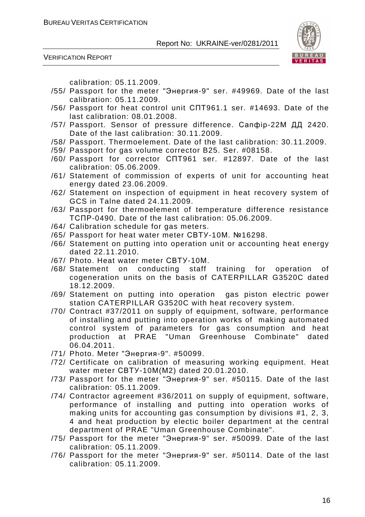



calibration: 05.11.2009.

- /55/ Passport for the meter "Энергия-9" ser. #49969. Date of the last calibration: 05.11.2009.
- /56/ Passport for heat control unit СПТ961.1 ser. #14693. Date of the last calibration: 08.01.2008.
- /57/ Passport. Sensor of pressure difference. Сапфір-22М ДД 2420. Date of the last calibration: 30.11.2009.
- /58/ Passport. Thermoelement. Date of the last calibration: 30.11.2009.
- /59/ Passport for gas volume corrector B25. Ser. #08158.
- /60/ Passport for corrector СПТ961 ser. #12897. Date of the last calibration: 05.06.2009.
- /61/ Statement of commission of experts of unit for accounting heat energy dated 23.06.2009.
- /62/ Statement on inspection of equipment in heat recovery system of GCS in Talne dated 24.11.2009.
- /63/ Passport for thermoelement of temperature difference resistance ТСПР-0490. Date of the last calibration: 05.06.2009.
- /64/ Calibration schedule for gas meters.
- /65/ Passport for heat water meter СВТУ-10М. №16298.
- /66/ Statement on putting into operation unit or accounting heat energy dated 22.11.2010.
- /67/ Photo. Heat water meter СВТУ-10М.
- /68/ Statement on conducting staff training for operation of cogeneration units on the basis of CATERPILLAR G3520C dated 18.12.2009.
- /69/ Statement on putting into operation gas piston electric power station CATERPILLAR G3520C with heat recovery system.
- /70/ Contract #37/2011 on supply of equipment, software, performance of installing and putting into operation works of making automated control system of parameters for gas consumption and heat production at PRAE "Uman Greenhouse Combinate" dated 06.04.2011.
- /71/ Photo. Meter "Энергия-9". #50099.
- /72/ Certificate on calibration of measuring working equipment. Heat water meter СВТУ-10М(М2) dated 20.01.2010.
- /73/ Passport for the meter "Энергия-9" ser. #50115. Date of the last calibration: 05.11.2009.
- /74/ Contractor agreement #36/2011 on supply of equipment, software, performance of installing and putting into operation works of making units for accounting gas consumption by divisions #1, 2, 3, 4 and heat production by electic boiler department at the central department of PRAE "Uman Greenhouse Combinate".
- /75/ Passport for the meter "Энергия-9" ser. #50099. Date of the last calibration: 05.11.2009.
- /76/ Passport for the meter "Энергия-9" ser. #50114. Date of the last calibration: 05.11.2009.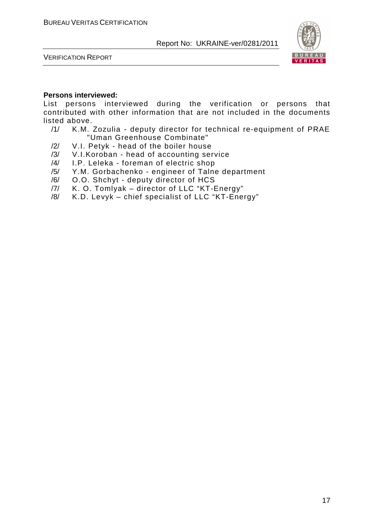

VERIFICATION REPORT

#### **Persons interviewed:**

List persons interviewed during the verification or persons that contributed with other information that are not included in the documents listed above.

- /1/ K.M. Zozulia deputy director for technical re-equipment of PRAE "Uman Greenhouse Combinate"
- /2/ V.I. Petyk head of the boiler house
- /3/ V.I.Koroban head of accounting service
- /4/ I.P. Leleka foreman of electric shop
- /5/ Y.M. Gorbachenko engineer of Talne department
- /6/ O.O. Shchyt deputy director of HCS
- /7/ K. O. Tomlyak director of LLC "KT-Energy"
- /8/ K.D. Levyk chief specialist of LLC "KT-Energy"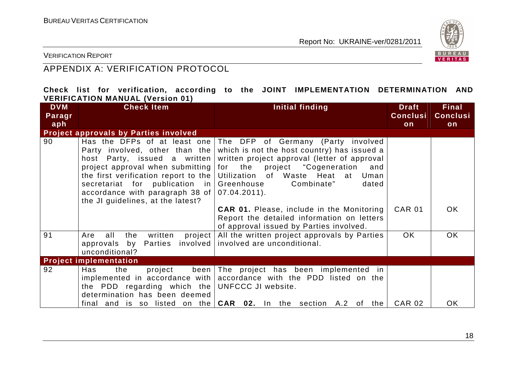

VERIFICATION REPORT

## APPENDIX A: VERIFICATION PROTOCOL

#### **Check list for verification, according to the JOINT IMPLEMENTATION DETERMINATION AND VERIFICATION MANUAL (Version 01)**

| <b>DVM</b><br>Paragr<br>aph | <b>Check Item</b>                                                                                                                                                                                                                                                                    | Initial finding                                                                                                                                                                                                                                                          | <b>Draft</b><br><b>Conclusi</b><br>on | <b>Final</b><br><b>Conclusi</b><br>on |
|-----------------------------|--------------------------------------------------------------------------------------------------------------------------------------------------------------------------------------------------------------------------------------------------------------------------------------|--------------------------------------------------------------------------------------------------------------------------------------------------------------------------------------------------------------------------------------------------------------------------|---------------------------------------|---------------------------------------|
|                             | <b>Project approvals by Parties involved</b>                                                                                                                                                                                                                                         |                                                                                                                                                                                                                                                                          |                                       |                                       |
| 90                          | Has the DFPs of at least one<br>Party involved, other than the<br>host Party, issued a written<br>project approval when submitting<br>the first verification report to the<br>secretariat for publication in<br>accordance with paragraph 38 of<br>the JI guidelines, at the latest? | The DFP of Germany (Party involved<br>which is not the host country) has issued a<br>written project approval (letter of approval<br>for the project "Cogeneration<br>and<br>Utilization of Waste Heat at<br>Uman<br>Greenhouse<br>Combinate"<br>dated<br>$07.04.2011$ . |                                       |                                       |
|                             |                                                                                                                                                                                                                                                                                      | <b>CAR 01.</b> Please, include in the Monitoring<br>Report the detailed information on letters<br>of approval issued by Parties involved.                                                                                                                                | <b>CAR 01</b>                         | <b>OK</b>                             |
| 91                          | all<br>the<br>written<br>project<br>Are<br>Parties involved<br>approvals by<br>unconditional?                                                                                                                                                                                        | All the written project approvals by Parties<br>involved are unconditional.                                                                                                                                                                                              | <b>OK</b>                             | <b>OK</b>                             |
|                             | <b>Project implementation</b>                                                                                                                                                                                                                                                        |                                                                                                                                                                                                                                                                          |                                       |                                       |
| 92                          | been<br>Has<br>the<br>project<br>implemented in accordance with<br>the PDD regarding which the<br>determination has been deemed                                                                                                                                                      | The project has been implemented in<br>accordance with the PDD listed on the<br>UNFCCC JI website.<br>final and is so listed on the $CAR$ 02. In the section A.2 of the                                                                                                  | <b>CAR 02</b>                         | <b>OK</b>                             |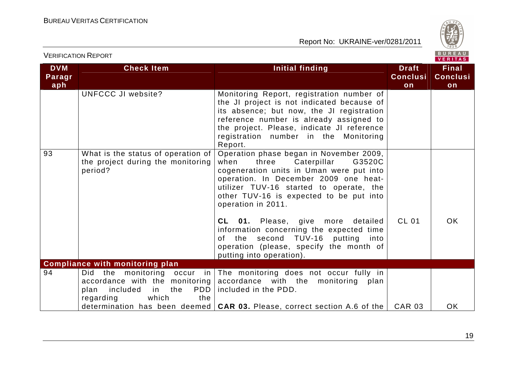

| <b>VERIFICATION REPORT</b>  |                                                                                                                                               |                                                                                                                                                                                                                                                                                    |                                       | BUREAU<br><b>VERITAS</b>              |
|-----------------------------|-----------------------------------------------------------------------------------------------------------------------------------------------|------------------------------------------------------------------------------------------------------------------------------------------------------------------------------------------------------------------------------------------------------------------------------------|---------------------------------------|---------------------------------------|
| <b>DVM</b><br>Paragr<br>aph | <b>Check Item</b>                                                                                                                             | Initial finding                                                                                                                                                                                                                                                                    | <b>Draft</b><br><b>Conclusi</b><br>on | <b>Final</b><br><b>Conclusi</b><br>on |
|                             | UNFCCC JI website?                                                                                                                            | Monitoring Report, registration number of<br>the JI project is not indicated because of<br>its absence; but now, the JI registration<br>reference number is already assigned to<br>the project. Please, indicate JI reference<br>registration number in the Monitoring<br>Report.  |                                       |                                       |
| 93                          | What is the status of operation of<br>the project during the monitoring<br>period?                                                            | Operation phase began in November 2009,<br>G3520C<br>when<br>three<br>Caterpillar<br>cogeneration units in Uman were put into<br>operation. In December 2009 one heat-<br>utilizer TUV-16 started to operate, the<br>other TUV-16 is expected to be put into<br>operation in 2011. |                                       |                                       |
|                             |                                                                                                                                               | CL 01. Please, give more<br>detailed<br>information concerning the expected time<br>second TUV-16<br>putting<br>into<br>the<br>0f.<br>operation (please, specify the month of<br>putting into operation).                                                                          | <b>CL 01</b>                          | <b>OK</b>                             |
|                             | <b>Compliance with monitoring plan</b>                                                                                                        |                                                                                                                                                                                                                                                                                    |                                       |                                       |
| 94                          | monitoring<br>Did<br>the<br>$occur$ in<br>accordance with the monitoring<br>included<br>the<br>PDD<br>in<br>plan<br>which<br>regarding<br>the | The monitoring does not occur fully in<br>accordance with the<br>monitoring<br>plan<br>included in the PDD.                                                                                                                                                                        |                                       |                                       |
|                             |                                                                                                                                               | determination has been deemed $ $ CAR 03. Please, correct section A.6 of the $ $                                                                                                                                                                                                   | <b>CAR 03</b>                         | <b>OK</b>                             |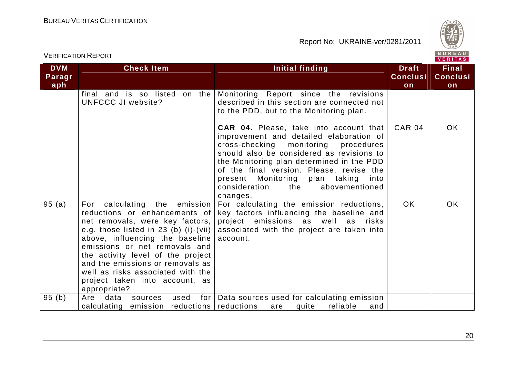

|                             |                                                                                                                                                                                                                                                                                                                                                                                    |                                                                                                                                                                                                                                                                                                                                                                                 |                                       | VERIIAS                               |
|-----------------------------|------------------------------------------------------------------------------------------------------------------------------------------------------------------------------------------------------------------------------------------------------------------------------------------------------------------------------------------------------------------------------------|---------------------------------------------------------------------------------------------------------------------------------------------------------------------------------------------------------------------------------------------------------------------------------------------------------------------------------------------------------------------------------|---------------------------------------|---------------------------------------|
| <b>DVM</b><br>Paragr<br>aph | <b>Check Item</b>                                                                                                                                                                                                                                                                                                                                                                  | <b>Initial finding</b>                                                                                                                                                                                                                                                                                                                                                          | <b>Draft</b><br><b>Conclusi</b><br>on | <b>Final</b><br><b>Conclusi</b><br>on |
|                             | final and is so listed<br>on the<br><b>UNFCCC JI website?</b>                                                                                                                                                                                                                                                                                                                      | Monitoring Report since the revisions<br>described in this section are connected not<br>to the PDD, but to the Monitoring plan.                                                                                                                                                                                                                                                 |                                       |                                       |
|                             |                                                                                                                                                                                                                                                                                                                                                                                    | <b>CAR 04.</b> Please, take into account that<br>improvement and detailed elaboration of<br>cross-checking<br>monitoring<br>procedures<br>should also be considered as revisions to<br>the Monitoring plan determined in the PDD<br>of the final version. Please, revise the<br>present Monitoring<br>plan taking<br>into<br>consideration<br>the<br>abovementioned<br>changes. | <b>CAR 04</b>                         | <b>OK</b>                             |
| 95(a)                       | calculating the emission<br>For<br>reductions or enhancements of<br>net removals, were key factors,<br>e.g. those listed in $23$ (b) (i)-(vii)<br>above, influencing the baseline<br>emissions or net removals and<br>the activity level of the project<br>and the emissions or removals as<br>well as risks associated with the<br>project taken into account, as<br>appropriate? | For calculating the emission reductions,<br>key factors influencing the baseline and<br>project emissions as well as<br>risks<br>associated with the project are taken into<br>account.                                                                                                                                                                                         | <b>OK</b>                             | <b>OK</b>                             |
| 95(b)                       | used<br>for $ $<br>Are<br>data<br>sources<br>emission reductions reductions<br>calculating                                                                                                                                                                                                                                                                                         | Data sources used for calculating emission<br>quite<br>reliable<br>are<br>and                                                                                                                                                                                                                                                                                                   |                                       |                                       |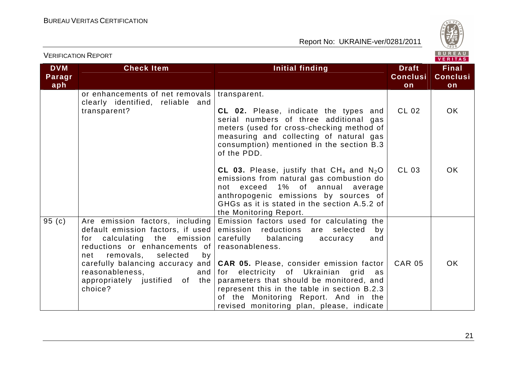

|                             |                                                                                                                                                                                                                                                                                          |                                                                                                                                                                                                                                                                                                                                                                                                                                    |                                       | VENII MOJ                             |
|-----------------------------|------------------------------------------------------------------------------------------------------------------------------------------------------------------------------------------------------------------------------------------------------------------------------------------|------------------------------------------------------------------------------------------------------------------------------------------------------------------------------------------------------------------------------------------------------------------------------------------------------------------------------------------------------------------------------------------------------------------------------------|---------------------------------------|---------------------------------------|
| <b>DVM</b><br>Paragr<br>aph | <b>Check Item</b>                                                                                                                                                                                                                                                                        | Initial finding                                                                                                                                                                                                                                                                                                                                                                                                                    | <b>Draft</b><br><b>Conclusi</b><br>on | <b>Final</b><br><b>Conclusi</b><br>on |
|                             | or enhancements of net removals<br>clearly identified, reliable and<br>transparent?                                                                                                                                                                                                      | transparent.<br>CL 02. Please, indicate the types and<br>serial numbers of three additional gas<br>meters (used for cross-checking method of<br>measuring and collecting of natural gas<br>consumption) mentioned in the section B.3<br>of the PDD.                                                                                                                                                                                | CL 02                                 | OK.                                   |
|                             |                                                                                                                                                                                                                                                                                          | CL 03. Please, justify that $CH_4$ and $N_2O$<br>emissions from natural gas combustion do<br>not exceed 1% of annual<br>average<br>anthropogenic emissions by sources of<br>GHGs as it is stated in the section A.5.2 of<br>the Monitoring Report.                                                                                                                                                                                 | CL 03                                 | <b>OK</b>                             |
| 95 $(c)$                    | Are emission factors, including<br>default emission factors, if used<br>for calculating the emission<br>reductions or enhancements of<br>removals,<br>selected<br>net<br>by<br>carefully balancing accuracy and<br>reasonableness,<br>and  <br>appropriately justified of the<br>choice? | Emission factors used for calculating the<br>emission reductions<br>are selected<br>by<br>carefully balancing<br>accuracy<br>and<br>reasonableness.<br><b>CAR 05.</b> Please, consider emission factor<br>for electricity of Ukrainian grid<br>as<br>parameters that should be monitored, and<br>represent this in the table in section B.2.3<br>of the Monitoring Report. And in the<br>revised monitoring plan, please, indicate | <b>CAR 05</b>                         | <b>OK</b>                             |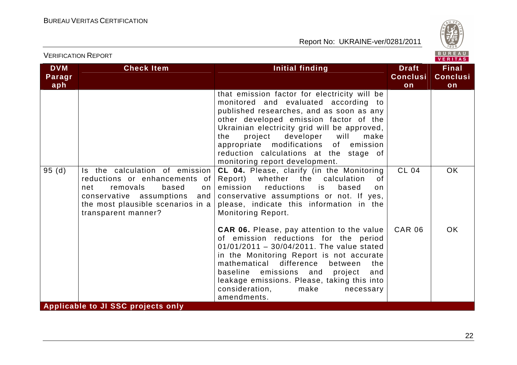

VERIFICATION REPORT

| <b>DVM</b><br>Paragr<br>aph | <b>Check Item</b>                                                                                                                                                                                | <b>Initial finding</b>                                                                                                                                                                                                                                                                                                                                                                         | <b>Draft</b><br><b>Conclusi</b><br>on | <b>Final</b><br><b>Conclusi</b><br>on |
|-----------------------------|--------------------------------------------------------------------------------------------------------------------------------------------------------------------------------------------------|------------------------------------------------------------------------------------------------------------------------------------------------------------------------------------------------------------------------------------------------------------------------------------------------------------------------------------------------------------------------------------------------|---------------------------------------|---------------------------------------|
|                             |                                                                                                                                                                                                  | that emission factor for electricity will be<br>monitored and evaluated according to<br>published researches, and as soon as any<br>other developed emission factor of the<br>Ukrainian electricity grid will be approved,<br>developer<br>project<br>will<br>the<br>make<br>appropriate modifications of emission<br>reduction calculations at the stage of<br>monitoring report development. |                                       |                                       |
| 95(d)                       | Is the calculation of emission<br>reductions or enhancements of<br>removals<br>net<br>based<br>on<br>conservative assumptions<br>and<br>the most plausible scenarios in a<br>transparent manner? | CL 04. Please, clarify (in the Monitoring<br>Report) whether the calculation<br>0f<br>emission<br>reductions<br>is<br>based<br>on<br>conservative assumptions or not. If yes,<br>please, indicate this information in the<br><b>Monitoring Report.</b>                                                                                                                                         | <b>CL 04</b>                          | <b>OK</b>                             |
|                             |                                                                                                                                                                                                  | <b>CAR 06.</b> Please, pay attention to the value<br>of emission reductions for the period<br>$01/01/2011 - 30/04/2011$ . The value stated<br>in the Monitoring Report is not accurate<br>difference<br>mathematical<br>between<br>the<br>baseline emissions and project<br>and<br>leakage emissions. Please, taking this into<br>consideration,<br>make<br>necessary<br>amendments.           | <b>CAR 06</b>                         | <b>OK</b>                             |
|                             | Applicable to JI SSC projects only                                                                                                                                                               |                                                                                                                                                                                                                                                                                                                                                                                                |                                       |                                       |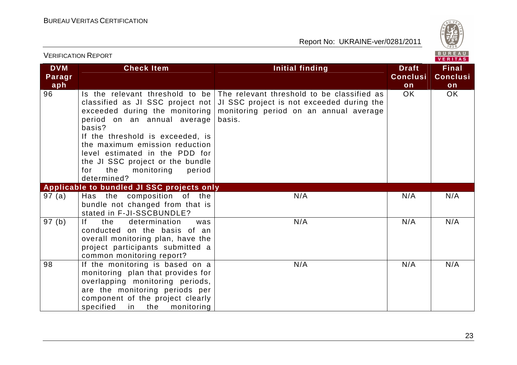

| <b>VERIFICATION REPORT</b>  |                                                                                                                                                                                                                                                                                                                                                 |                                                                                                                                             |                                       | BUREAU<br><b>VERITAS</b>              |  |
|-----------------------------|-------------------------------------------------------------------------------------------------------------------------------------------------------------------------------------------------------------------------------------------------------------------------------------------------------------------------------------------------|---------------------------------------------------------------------------------------------------------------------------------------------|---------------------------------------|---------------------------------------|--|
| <b>DVM</b><br>Paragr<br>aph | <b>Check Item</b>                                                                                                                                                                                                                                                                                                                               | <b>Initial finding</b>                                                                                                                      | <b>Draft</b><br><b>Conclusi</b><br>on | <b>Final</b><br><b>Conclusi</b><br>on |  |
| 96                          | Is the relevant threshold to be<br>classified as JI SSC project not<br>exceeded during the monitoring<br>period on an annual average<br>basis?<br>If the threshold is exceeded, is<br>the maximum emission reduction<br>level estimated in the PDD for<br>the JI SSC project or the bundle<br>the<br>monitoring<br>period<br>for<br>determined? | The relevant threshold to be classified as<br>JI SSC project is not exceeded during the<br>monitoring period on an annual average<br>basis. | OK.                                   | OK                                    |  |
|                             | Applicable to bundled JI SSC projects only                                                                                                                                                                                                                                                                                                      |                                                                                                                                             |                                       |                                       |  |
| 97(a)                       | Has the composition of the<br>bundle not changed from that is<br>stated in F-JI-SSCBUNDLE?                                                                                                                                                                                                                                                      | N/A                                                                                                                                         | N/A                                   | N/A                                   |  |
| 97 (b)                      | If.<br>the<br>determination<br>was<br>conducted on the basis of an<br>overall monitoring plan, have the<br>project participants submitted a<br>common monitoring report?                                                                                                                                                                        | N/A                                                                                                                                         | N/A                                   | N/A                                   |  |
| 98                          | If the monitoring is based on a<br>monitoring plan that provides for<br>overlapping monitoring periods,<br>are the monitoring periods per<br>component of the project clearly<br>specified<br>in the<br>monitoring                                                                                                                              | N/A                                                                                                                                         | N/A                                   | N/A                                   |  |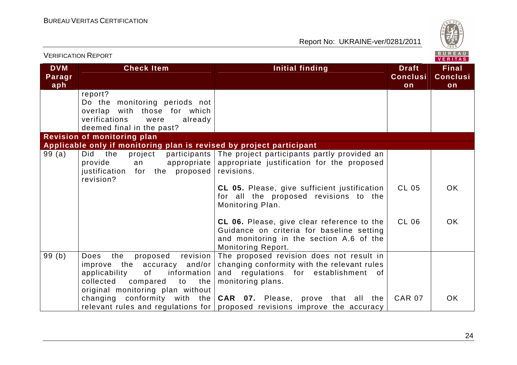

| <b>VERIFICATION REPORT</b>  |                                                                                                                                                                                           |                                                                                                                                                                                                                                                                                                                                                                                                 |                                       | BUREAU<br><b>VERITAS</b>              |
|-----------------------------|-------------------------------------------------------------------------------------------------------------------------------------------------------------------------------------------|-------------------------------------------------------------------------------------------------------------------------------------------------------------------------------------------------------------------------------------------------------------------------------------------------------------------------------------------------------------------------------------------------|---------------------------------------|---------------------------------------|
| <b>DVM</b><br>Paragr<br>aph | <b>Check Item</b>                                                                                                                                                                         | <b>Initial finding</b>                                                                                                                                                                                                                                                                                                                                                                          | <b>Draft</b><br><b>Conclusi</b><br>on | <b>Final</b><br><b>Conclusi</b><br>on |
|                             | report?<br>Do the monitoring periods not<br>overlap with those for which<br>verifications<br>already<br>were<br>deemed final in the past?                                                 |                                                                                                                                                                                                                                                                                                                                                                                                 |                                       |                                       |
|                             | <b>Revision of monitoring plan</b>                                                                                                                                                        |                                                                                                                                                                                                                                                                                                                                                                                                 |                                       |                                       |
| 99(a)                       | Applicable only if monitoring plan is revised by project participant<br>Did the<br>provide<br>appropriate  <br>an<br>the proposed revisions.<br>justification<br>for<br>revision?         | project participants The project participants partly provided an<br>appropriate justification for the proposed<br>CL 05. Please, give sufficient justification<br>for all the proposed revisions to the<br>Monitoring Plan.<br>CL 06. Please, give clear reference to the<br>Guidance on criteria for baseline setting<br>and monitoring in the section A.6 of the<br><b>Monitoring Report.</b> | <b>CL 05</b><br><b>CL 06</b>          | <b>OK</b><br>OK.                      |
| 99(b)                       | revision<br><b>Does</b><br>the<br>proposed<br>improve the accuracy and/or<br>of<br>information<br>applicability<br>collected<br>compared<br>to<br>the<br>original monitoring plan without | The proposed revision does not result in<br>changing conformity with the relevant rules<br>and regulations for establishment of<br>monitoring plans.<br>changing conformity with the $CAR$ 07. Please, prove that all the<br>relevant rules and regulations for proposed revisions improve the accuracy                                                                                         | <b>CAR 07</b>                         | OK.                                   |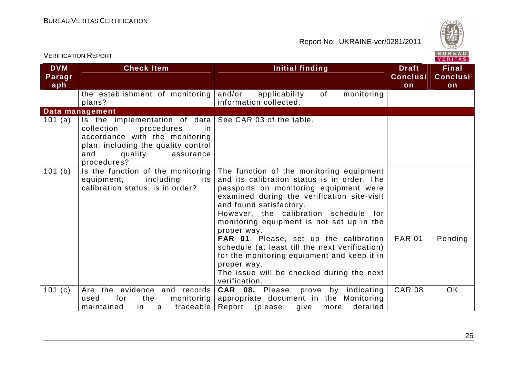

|                             | <b>VERIFICATION REPORT</b>                                                                                                                                                                                               |                                                                                                                                                                                                                                                                                                                                                                                                                                                                                                                                          |                                       | BUREAU<br>VERITAS                     |
|-----------------------------|--------------------------------------------------------------------------------------------------------------------------------------------------------------------------------------------------------------------------|------------------------------------------------------------------------------------------------------------------------------------------------------------------------------------------------------------------------------------------------------------------------------------------------------------------------------------------------------------------------------------------------------------------------------------------------------------------------------------------------------------------------------------------|---------------------------------------|---------------------------------------|
| <b>DVM</b><br>Paragr<br>aph | <b>Check Item</b>                                                                                                                                                                                                        | <b>Initial finding</b>                                                                                                                                                                                                                                                                                                                                                                                                                                                                                                                   | <b>Draft</b><br><b>Conclusi</b><br>on | <b>Final</b><br><b>Conclusi</b><br>on |
|                             | the establishment of monitoring<br>plans?                                                                                                                                                                                | and/or<br>0f<br>applicability<br>monitoring<br>information collected.                                                                                                                                                                                                                                                                                                                                                                                                                                                                    |                                       |                                       |
|                             | Data management                                                                                                                                                                                                          |                                                                                                                                                                                                                                                                                                                                                                                                                                                                                                                                          |                                       |                                       |
| 101 (a)                     | Is the implementation of data $\vert$ See CAR 03 of the table.<br>collection<br>procedures<br>-in<br>accordance with the monitoring<br>plan, including the quality control<br>and<br>quality<br>assurance<br>procedures? |                                                                                                                                                                                                                                                                                                                                                                                                                                                                                                                                          |                                       |                                       |
| 101 (b)                     | Is the function of the monitoring<br>equipment,<br>including<br>its<br>calibration status, is in order?                                                                                                                  | The function of the monitoring equipment<br>and its calibration status is in order. The<br>passports on monitoring equipment were<br>examined during the verification site-visit<br>and found satisfactory.<br>However, the calibration schedule for<br>monitoring equipment is not set up in the<br>proper way.<br>FAR 01. Please, set up the calibration<br>schedule (at least till the next verification)<br>for the monitoring equipment and keep it in<br>proper way.<br>The issue will be checked during the next<br>verification. | <b>FAR 01</b>                         | Pending                               |
| 101(c)                      | Are the evidence and records<br>for<br>the<br>monitoring<br>used<br>maintained<br>traceable<br>in.<br>a                                                                                                                  | <b>CAR 08.</b> Please, prove by indicating<br>appropriate document in the Monitoring<br>Report (please,<br>detailed<br>give<br>more                                                                                                                                                                                                                                                                                                                                                                                                      | <b>CAR 08</b>                         | <b>OK</b>                             |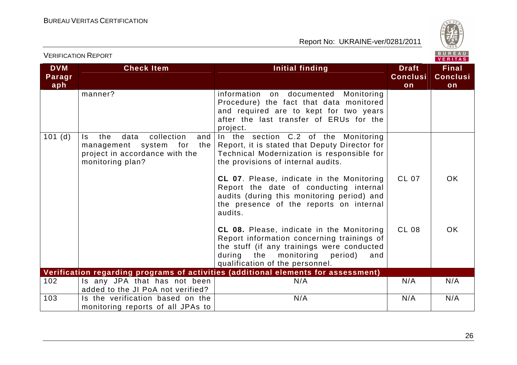

## VERIFICATION REPORT

| <b>DVM</b><br>Paragr<br>aph | <b>Check Item</b>                                                                                                             | Initial finding                                                                                                                                                                                                            | <b>Draft</b><br><b>Conclusi</b><br>on | <b>Final</b><br><b>Conclusi</b><br>on |
|-----------------------------|-------------------------------------------------------------------------------------------------------------------------------|----------------------------------------------------------------------------------------------------------------------------------------------------------------------------------------------------------------------------|---------------------------------------|---------------------------------------|
|                             | manner?                                                                                                                       | information on documented<br>Monitoring<br>Procedure) the fact that data monitored<br>and required are to kept for two years<br>after the last transfer of ERUs for the<br>project.                                        |                                       |                                       |
| 101(d)                      | collection<br>the<br>data<br>and<br>ls.<br>management system for<br>the<br>project in accordance with the<br>monitoring plan? | In the section C.2 of the Monitoring<br>Report, it is stated that Deputy Director for<br>Technical Modernization is responsible for<br>the provisions of internal audits.                                                  |                                       |                                       |
|                             |                                                                                                                               | CL 07. Please, indicate in the Monitoring<br>Report the date of conducting internal<br>audits (during this monitoring period) and<br>the presence of the reports on internal<br>audits.                                    | CL 07                                 | <b>OK</b>                             |
|                             |                                                                                                                               | <b>CL 08.</b> Please, indicate in the Monitoring<br>Report information concerning trainings of<br>the stuff (if any trainings were conducted<br>during the monitoring<br>period)<br>and<br>qualification of the personnel. | <b>CL 08</b>                          | <b>OK</b>                             |
|                             |                                                                                                                               | Verification regarding programs of activities (additional elements for assessment)                                                                                                                                         |                                       |                                       |
| 102                         | Is any JPA that has not been<br>added to the JI PoA not verified?                                                             | N/A                                                                                                                                                                                                                        | N/A                                   | N/A                                   |
| 103                         | Is the verification based on the<br>monitoring reports of all JPAs to                                                         | N/A                                                                                                                                                                                                                        | N/A                                   | N/A                                   |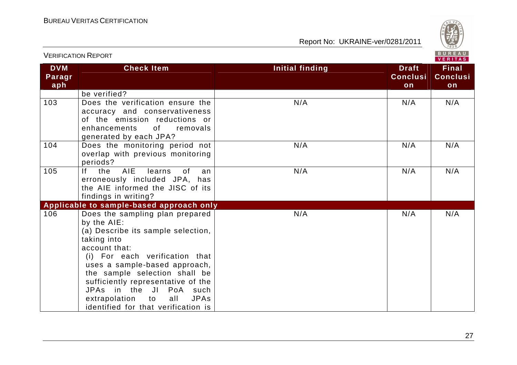

|                             | <u>V LINII IUATIUIV INLE UN I</u>                                                                                                                                                                                                                                                                                                                                          | VERITAS                |                                       |                                       |  |  |
|-----------------------------|----------------------------------------------------------------------------------------------------------------------------------------------------------------------------------------------------------------------------------------------------------------------------------------------------------------------------------------------------------------------------|------------------------|---------------------------------------|---------------------------------------|--|--|
| <b>DVM</b><br>Paragr<br>aph | <b>Check Item</b>                                                                                                                                                                                                                                                                                                                                                          | <b>Initial finding</b> | <b>Draft</b><br><b>Conclusi</b><br>on | <b>Final</b><br><b>Conclusi</b><br>on |  |  |
|                             | be verified?                                                                                                                                                                                                                                                                                                                                                               |                        |                                       |                                       |  |  |
| 103                         | Does the verification ensure the<br>accuracy and conservativeness<br>of the emission reductions or<br>0f<br>enhancements<br>removals<br>generated by each JPA?                                                                                                                                                                                                             | N/A                    | N/A                                   | N/A                                   |  |  |
| 104                         | Does the monitoring period not<br>overlap with previous monitoring<br>periods?                                                                                                                                                                                                                                                                                             | N/A                    | N/A                                   | N/A                                   |  |  |
| 105                         | If<br>AIE<br>the<br>learns<br>0f<br>an<br>erroneously included JPA, has<br>the AIE informed the JISC of its<br>findings in writing?                                                                                                                                                                                                                                        | N/A                    | N/A                                   | N/A                                   |  |  |
|                             | Applicable to sample-based approach only                                                                                                                                                                                                                                                                                                                                   |                        |                                       |                                       |  |  |
| 106                         | Does the sampling plan prepared<br>by the AIE:<br>(a) Describe its sample selection,<br>taking into<br>account that:<br>(i) For each verification that<br>uses a sample-based approach,<br>the sample selection shall be<br>sufficiently representative of the<br>JPAs in the JI PoA such<br>extrapolation to<br>all<br><b>JPAs</b><br>identified for that verification is | N/A                    | N/A                                   | N/A                                   |  |  |

VERIFICATION REPORT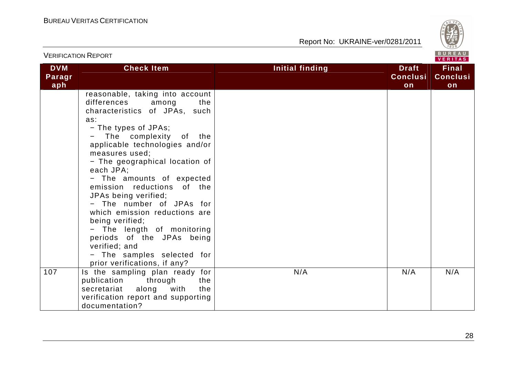

|                             | <b>VERIFICATION REPORT</b>                                                                                                                                                                                                                                                                                                                                                                                                                                                                                                                                              |                                                          | BUREAU<br><b>VERITAS</b>              |
|-----------------------------|-------------------------------------------------------------------------------------------------------------------------------------------------------------------------------------------------------------------------------------------------------------------------------------------------------------------------------------------------------------------------------------------------------------------------------------------------------------------------------------------------------------------------------------------------------------------------|----------------------------------------------------------|---------------------------------------|
| <b>DVM</b><br>Paragr<br>aph | <b>Check Item</b>                                                                                                                                                                                                                                                                                                                                                                                                                                                                                                                                                       | Initial finding<br><b>Draft</b><br><b>Conclusi</b><br>on | <b>Final</b><br><b>Conclusi</b><br>on |
|                             | reasonable, taking into account<br>differences<br>the<br>among<br>characteristics of JPAs, such<br>as:<br>- The types of JPAs;<br>The complexity of the<br>applicable technologies and/or<br>measures used;<br>- The geographical location of<br>each JPA;<br>- The amounts of expected<br>emission reductions of the<br>JPAs being verified;<br>- The number of JPAs for<br>which emission reductions are<br>being verified;<br>- The length of monitoring<br>periods of the JPAs being<br>verified; and<br>- The samples selected for<br>prior verifications, if any? |                                                          |                                       |
| 107                         | Is the sampling plan ready for<br>publication<br>through<br>the<br>the<br>secretariat<br>along<br>with<br>verification report and supporting<br>documentation?                                                                                                                                                                                                                                                                                                                                                                                                          | N/A<br>N/A                                               | N/A                                   |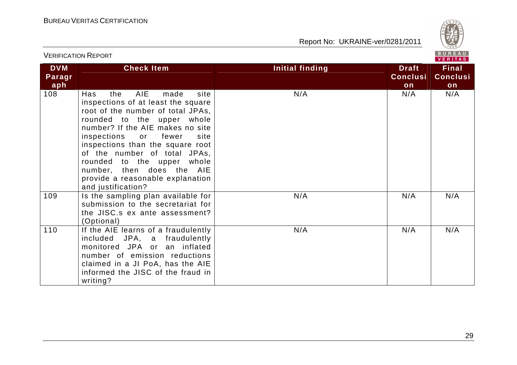

|                             | <b>VERIFICATION REPORT</b>                                                                                                                                                                                                                                                                                                                                                                                           |                 | BUREAU<br><b>VERITAS</b>              |                                       |  |
|-----------------------------|----------------------------------------------------------------------------------------------------------------------------------------------------------------------------------------------------------------------------------------------------------------------------------------------------------------------------------------------------------------------------------------------------------------------|-----------------|---------------------------------------|---------------------------------------|--|
| <b>DVM</b><br>Paragr<br>aph | <b>Check Item</b>                                                                                                                                                                                                                                                                                                                                                                                                    | Initial finding | <b>Draft</b><br><b>Conclusi</b><br>on | <b>Final</b><br><b>Conclusi</b><br>on |  |
| 108                         | <b>AIE</b><br>site<br>the<br>made<br>Has<br>inspections of at least the square<br>root of the number of total JPAs,<br>rounded to the upper whole<br>number? If the AIE makes no site<br>inspections<br>site<br>or<br>fewer<br>inspections than the square root<br>of the number of total JPAs,<br>rounded to the upper whole<br>number, then does the AIE<br>provide a reasonable explanation<br>and justification? | N/A             | N/A                                   | N/A                                   |  |
| 109                         | Is the sampling plan available for<br>submission to the secretariat for<br>the JISC.s ex ante assessment?<br>(Optional)                                                                                                                                                                                                                                                                                              | N/A             | N/A                                   | N/A                                   |  |
| 110                         | If the AIE learns of a fraudulently<br>included JPA, a fraudulently<br>monitored JPA or an inflated<br>number of emission reductions<br>claimed in a JI PoA, has the AIE<br>informed the JISC of the fraud in<br>writing?                                                                                                                                                                                            | N/A             | N/A                                   | N/A                                   |  |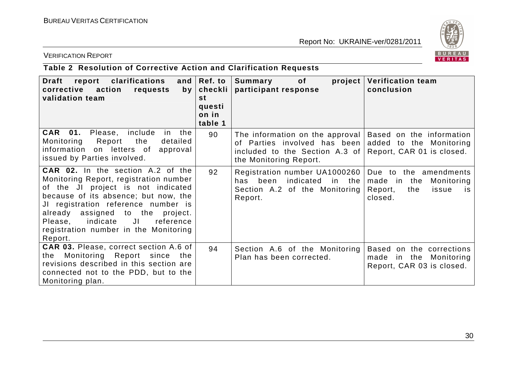

#### VERIFICATION REPORT

# **Table 2 Resolution of Corrective Action and Clarification Requests**

| report<br>clarifications<br>Draft<br>corrective<br>action<br>requests<br>by<br>validation team                                                                                                                                                                                                                                                | and $ Ref.$ to<br>checkli<br><b>st</b><br>questi<br>on in<br>table 1 | Summary<br>of<br>project<br>participant response                                                                            | <b>Verification team</b><br>conclusion                                                                |
|-----------------------------------------------------------------------------------------------------------------------------------------------------------------------------------------------------------------------------------------------------------------------------------------------------------------------------------------------|----------------------------------------------------------------------|-----------------------------------------------------------------------------------------------------------------------------|-------------------------------------------------------------------------------------------------------|
| Please, include<br><b>CAR 01.</b><br>in the<br>Monitoring<br>Report<br>the<br>detailed<br>information<br>on letters of<br>approval<br>issued by Parties involved.                                                                                                                                                                             | 90                                                                   | The information on the approval<br>of Parties involved has been<br>included to the Section A.3 of<br>the Monitoring Report. | Based on the information<br>added to the Monitoring<br>Report, CAR 01 is closed.                      |
| <b>CAR 02.</b> In the section A.2 of the<br>Monitoring Report, registration number<br>of the JI project is not indicated<br>because of its absence; but now, the<br>JI registration reference number is<br>already assigned to the project.<br>$J\Gamma$<br>Please, indicate<br>reference<br>registration number in the Monitoring<br>Report. | 92                                                                   | Registration number UA1000260<br>has<br>indicated in the<br>been<br>Section A.2 of the Monitoring<br>Report.                | Due to the amendments<br>made in the<br>Monitoring<br>Report,<br>the<br>issue<br><b>is</b><br>closed. |
| <b>CAR 03.</b> Please, correct section A.6 of<br>Monitoring Report since<br>the<br>the<br>revisions described in this section are<br>connected not to the PDD, but to the<br>Monitoring plan.                                                                                                                                                 | 94                                                                   | Section A.6 of the Monitoring<br>Plan has been corrected.                                                                   | Based on the corrections<br>made in the Monitoring<br>Report, CAR 03 is closed.                       |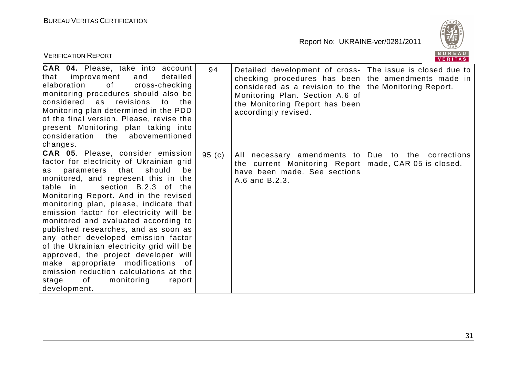

| <b>VERIFICATION REPORT</b>                                                                                                                                                                                                                                                                                                                                                                                                                                                                                                                                                                                                                                                          |       |                                                                                                                                                                                                                                                  | <b>BUREAU</b><br><b>VERITAS</b>        |
|-------------------------------------------------------------------------------------------------------------------------------------------------------------------------------------------------------------------------------------------------------------------------------------------------------------------------------------------------------------------------------------------------------------------------------------------------------------------------------------------------------------------------------------------------------------------------------------------------------------------------------------------------------------------------------------|-------|--------------------------------------------------------------------------------------------------------------------------------------------------------------------------------------------------------------------------------------------------|----------------------------------------|
| <b>CAR 04.</b> Please, take into account<br>detailed<br>improvement<br>and<br>that<br>elaboration<br>of<br>cross-checking<br>monitoring procedures should also be<br>considered as<br>revisions<br>to<br>the<br>Monitoring plan determined in the PDD<br>of the final version. Please, revise the<br>present Monitoring plan taking into<br>consideration the<br>abovementioned<br>changes.                                                                                                                                                                                                                                                                                         | 94    | Detailed development of cross- The issue is closed due to<br>checking procedures has been the amendments made in<br>considered as a revision to the<br>Monitoring Plan. Section A.6 of<br>the Monitoring Report has been<br>accordingly revised. | the Monitoring Report.                 |
| <b>CAR 05.</b> Please, consider emission<br>factor for electricity of Ukrainian grid<br>as parameters that should<br>be<br>monitored, and represent this in the<br>section B.2.3 of the<br>table in<br>Monitoring Report. And in the revised<br>monitoring plan, please, indicate that<br>emission factor for electricity will be<br>monitored and evaluated according to<br>published researches, and as soon as<br>any other developed emission factor<br>of the Ukrainian electricity grid will be<br>approved, the project developer will<br>make appropriate modifications of<br>emission reduction calculations at the<br>of<br>monitoring<br>stage<br>report<br>development. | 95(c) | All necessary amendments to   Due to the<br>the current Monitoring Report<br>have been made. See sections<br>A.6 and B.2.3.                                                                                                                      | corrections<br>made, CAR 05 is closed. |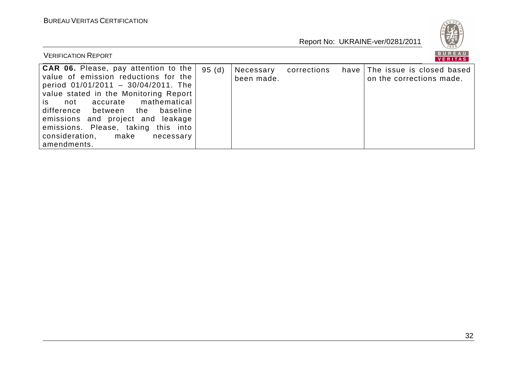

| <b>VERIFICATION REPORT</b>                                                                                                                                                                                                                                                                                                                                                                    |       |                         |             | BUREAU<br><b>VERITAS</b>                                   |
|-----------------------------------------------------------------------------------------------------------------------------------------------------------------------------------------------------------------------------------------------------------------------------------------------------------------------------------------------------------------------------------------------|-------|-------------------------|-------------|------------------------------------------------------------|
| <b>CAR 06.</b> Please, pay attention to the  <br>value of emission reductions for the<br>period $01/01/2011 - 30/04/2011$ . The<br>value stated in the Monitoring Report<br>mathematical<br>accurate<br>is.<br>not<br>difference between<br>baseline<br>the<br>emissions and project and leakage<br>emissions. Please, taking this into<br>consideration,<br>make<br>necessary<br>amendments. | 95(d) | Necessary<br>been made. | corrections | have The issue is closed based<br>on the corrections made. |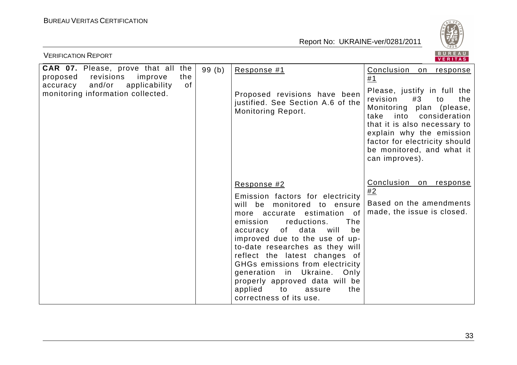

| <b>VERIFICATION REPORT</b>                                                                                                                                                    |       |                                                                                                                                                                                                                                                                                                                                                                                                                                                                         | BUREAU<br><b>VERITAS</b>                                                                                                                                                                                                                                                                            |
|-------------------------------------------------------------------------------------------------------------------------------------------------------------------------------|-------|-------------------------------------------------------------------------------------------------------------------------------------------------------------------------------------------------------------------------------------------------------------------------------------------------------------------------------------------------------------------------------------------------------------------------------------------------------------------------|-----------------------------------------------------------------------------------------------------------------------------------------------------------------------------------------------------------------------------------------------------------------------------------------------------|
| <b>CAR 07.</b> Please, prove that all the<br>revisions<br>improve<br>the<br>proposed<br>and/or<br><b>of</b><br>applicability<br>accuracy<br>monitoring information collected. | 99(b) | Response #1<br>Proposed revisions have been<br>justified. See Section A.6 of the<br><b>Monitoring Report.</b>                                                                                                                                                                                                                                                                                                                                                           | Conclusion<br>on response<br>#1<br>Please, justify in full the<br>revision<br>#3<br>the<br>to<br>Monitoring plan (please,<br>into consideration<br>take<br>that it is also necessary to<br>explain why the emission<br>factor for electricity should<br>be monitored, and what it<br>can improves). |
|                                                                                                                                                                               |       | Response #2<br>Emission factors for electricity<br>will be monitored to ensure<br>estimation<br>more accurate<br>0f<br>The<br>reductions.<br>emission<br>will<br>of<br>data<br>be<br>accuracy<br>improved due to the use of up-<br>to-date researches as they will<br>reflect the latest changes of<br>GHGs emissions from electricity<br>generation in Ukraine.<br>Only<br>properly approved data will be<br>applied<br>to<br>the<br>assure<br>correctness of its use. | Conclusion on response<br>#2<br>Based on the amendments<br>made, the issue is closed.                                                                                                                                                                                                               |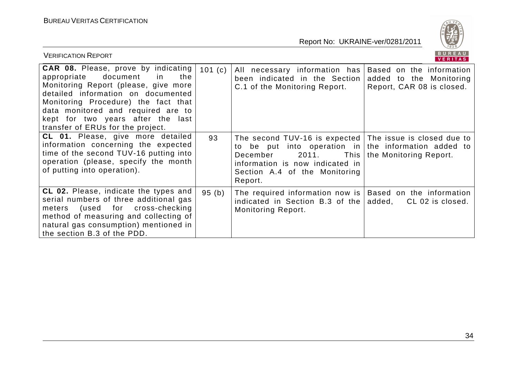

| <b>VERIFICATION REPORT</b>                                                                                                                                                                                                                                                                                               |        |                                                                                                                                                                                                                              | BUREAU<br>VERITAS                                                                |
|--------------------------------------------------------------------------------------------------------------------------------------------------------------------------------------------------------------------------------------------------------------------------------------------------------------------------|--------|------------------------------------------------------------------------------------------------------------------------------------------------------------------------------------------------------------------------------|----------------------------------------------------------------------------------|
| <b>CAR 08.</b> Please, prove by indicating<br>document<br>appropriate<br>the<br>in.<br>Monitoring Report (please, give more<br>detailed information on documented<br>Monitoring Procedure) the fact that<br>data monitored and required are to<br>kept for two years after the last<br>transfer of ERUs for the project. | 101(c) | All necessary information has<br>been indicated in the Section<br>C.1 of the Monitoring Report.                                                                                                                              | Based on the information<br>added to the Monitoring<br>Report, CAR 08 is closed. |
| <b>CL 01.</b> Please, give more detailed<br>information concerning the expected<br>time of the second TUV-16 putting into<br>operation (please, specify the month<br>of putting into operation).                                                                                                                         | 93     | The second TUV-16 is expected The issue is closed due to<br>to be put into operation in the information added to<br>2011.<br>December<br>This<br>information is now indicated in<br>Section A.4 of the Monitoring<br>Report. | the Monitoring Report.                                                           |
| <b>CL 02.</b> Please, indicate the types and<br>serial numbers of three additional gas<br>(used for cross-checking<br>meters<br>method of measuring and collecting of<br>natural gas consumption) mentioned in<br>the section B.3 of the PDD.                                                                            | 95(b)  | The required information now is $ $<br>indicated in Section B.3 of the<br><b>Monitoring Report.</b>                                                                                                                          | Based on the information<br>added, CL 02 is closed.                              |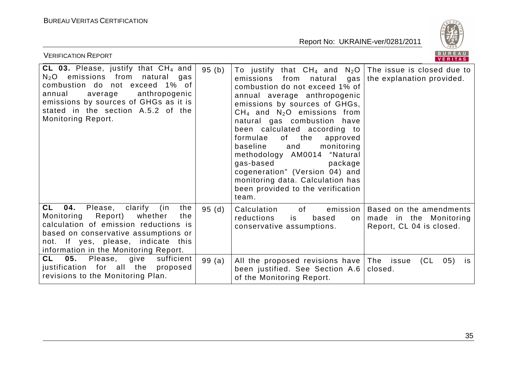

| <b>VERIFICATION REPORT</b>                                                                                                                                                                                                                                        |       |                                                                                                                                                                                                                                                                                                                                                                                                                                                                                                                                                      | BUREAU<br><b>VERITAS</b>                                                      |
|-------------------------------------------------------------------------------------------------------------------------------------------------------------------------------------------------------------------------------------------------------------------|-------|------------------------------------------------------------------------------------------------------------------------------------------------------------------------------------------------------------------------------------------------------------------------------------------------------------------------------------------------------------------------------------------------------------------------------------------------------------------------------------------------------------------------------------------------------|-------------------------------------------------------------------------------|
| CL 03. Please, justify that $CH_4$ and<br>$N2O$ emissions from natural<br>gas<br>combustion do not exceed 1% of<br>annual<br>average<br>anthropogenic<br>emissions by sources of GHGs as it is<br>stated in the section A.5.2 of the<br><b>Monitoring Report.</b> | 95(b) | To justify that $CH_4$ and $N_2O$ The issue is closed due to<br>emissions<br>from natural<br>gas<br>combustion do not exceed 1% of<br>annual average anthropogenic<br>emissions by sources of GHGs,<br>$CH_4$ and $N_2O$ emissions from<br>natural gas combustion have<br>been calculated according to<br>of the<br>formulae<br>approved<br>baseline<br>and<br>monitoring<br>methodology AM0014 "Natural<br>gas-based<br>package<br>cogeneration" (Version 04) and<br>monitoring data. Calculation has<br>been provided to the verification<br>team. | the explanation provided.                                                     |
| CL<br><b>04.</b> Please, clarify<br>the<br>(in<br>Report)<br>Monitoring<br>whether<br>the<br>calculation of emission reductions is<br>based on conservative assumptions or<br>not. If yes, please, indicate this<br>information in the Monitoring Report.         | 95(d) | of<br>Calculation<br>emission  <br>reductions<br>based<br>is<br>$\circ$ n<br>conservative assumptions.                                                                                                                                                                                                                                                                                                                                                                                                                                               | Based on the amendments<br>made in the Monitoring<br>Report, CL 04 is closed. |
| CL<br>05.<br>sufficient<br>Please,<br>give<br>justification for all the<br>proposed<br>revisions to the Monitoring Plan.                                                                                                                                          | 99(a) | All the proposed revisions have The issue<br>been justified. See Section A.6<br>of the Monitoring Report.                                                                                                                                                                                                                                                                                                                                                                                                                                            | (CL)<br>05)<br>is.<br>closed.                                                 |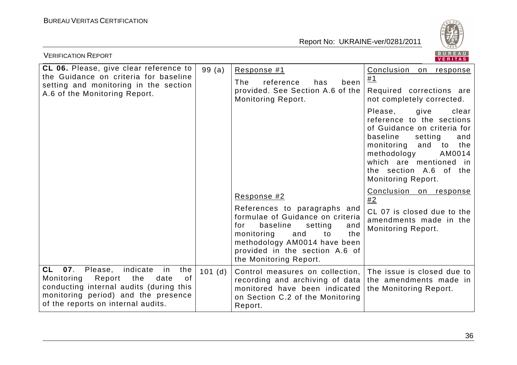

| BUREAU<br><b>VERIFICATION REPORT</b><br>VERITAS                                                                                                                                                                 |                   |                                                                                                                                                                                                                                     |                                                                                                                                                                                                                                                             |  |  |
|-----------------------------------------------------------------------------------------------------------------------------------------------------------------------------------------------------------------|-------------------|-------------------------------------------------------------------------------------------------------------------------------------------------------------------------------------------------------------------------------------|-------------------------------------------------------------------------------------------------------------------------------------------------------------------------------------------------------------------------------------------------------------|--|--|
| <b>CL 06.</b> Please, give clear reference to<br>the Guidance on criteria for baseline<br>setting and monitoring in the section<br>A.6 of the Monitoring Report.                                                | 99(a)             | Response #1<br>The<br>reference<br>has<br>been<br>provided. See Section A.6 of the<br><b>Monitoring Report.</b>                                                                                                                     | Conclusion on response<br>#1<br>Required corrections are<br>not completely corrected.                                                                                                                                                                       |  |  |
|                                                                                                                                                                                                                 |                   |                                                                                                                                                                                                                                     | Please,<br>give<br>clear<br>reference to the sections<br>of Guidance on criteria for<br>baseline<br>setting<br>and<br>monitoring and<br>the<br>to<br>methodology<br>AM0014<br>which are mentioned in<br>the section A.6 of the<br><b>Monitoring Report.</b> |  |  |
|                                                                                                                                                                                                                 |                   | Response #2                                                                                                                                                                                                                         | Conclusion on response<br>#2                                                                                                                                                                                                                                |  |  |
|                                                                                                                                                                                                                 |                   | References to paragraphs and<br>formulae of Guidance on criteria<br>for<br>baseline<br>setting<br>and<br>monitoring<br>and<br>to<br>the<br>methodology AM0014 have been<br>provided in the section A.6 of<br>the Monitoring Report. | CL 07 is closed due to the<br>amendments made in the<br><b>Monitoring Report.</b>                                                                                                                                                                           |  |  |
| indicate<br>CL<br>07.<br>Please,<br>the<br>in<br>Monitoring<br>Report the<br>0f<br>date<br>conducting internal audits (during this<br>monitoring period) and the presence<br>of the reports on internal audits. | $101$ (d) $\vert$ | Control measures on collection, The issue is closed due to<br>recording and archiving of data the amendments made in<br>monitored have been indicated<br>on Section C.2 of the Monitoring<br>Report.                                | the Monitoring Report.                                                                                                                                                                                                                                      |  |  |